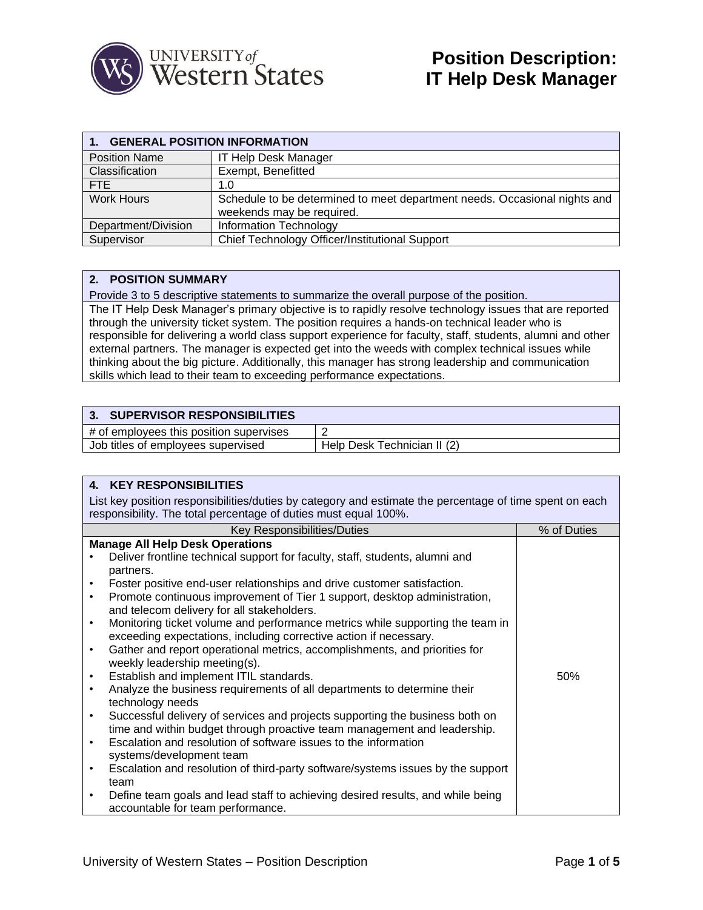

| 1. GENERAL POSITION INFORMATION |                                                                                                        |  |
|---------------------------------|--------------------------------------------------------------------------------------------------------|--|
| <b>Position Name</b>            | <b>IT Help Desk Manager</b>                                                                            |  |
| Classification                  | Exempt, Benefitted                                                                                     |  |
| FTE.                            | 1.0                                                                                                    |  |
| <b>Work Hours</b>               | Schedule to be determined to meet department needs. Occasional nights and<br>weekends may be required. |  |
| Department/Division             | Information Technology                                                                                 |  |
| Supervisor                      | Chief Technology Officer/Institutional Support                                                         |  |

## **2. POSITION SUMMARY**

Provide 3 to 5 descriptive statements to summarize the overall purpose of the position.

The IT Help Desk Manager's primary objective is to rapidly resolve technology issues that are reported through the university ticket system. The position requires a hands-on technical leader who is responsible for delivering a world class support experience for faculty, staff, students, alumni and other external partners. The manager is expected get into the weeds with complex technical issues while thinking about the big picture. Additionally, this manager has strong leadership and communication skills which lead to their team to exceeding performance expectations.

## **3. SUPERVISOR RESPONSIBILITIES**

| # of employees this position supervises |                                |
|-----------------------------------------|--------------------------------|
| Job titles of employees supervised      | Desk Technician II (2)<br>Help |

|                                                                                                                                                                            | <b>4. KEY RESPONSIBILITIES</b>                                                  |             |  |
|----------------------------------------------------------------------------------------------------------------------------------------------------------------------------|---------------------------------------------------------------------------------|-------------|--|
| List key position responsibilities/duties by category and estimate the percentage of time spent on each<br>responsibility. The total percentage of duties must equal 100%. |                                                                                 |             |  |
|                                                                                                                                                                            | Key Responsibilities/Duties                                                     | % of Duties |  |
|                                                                                                                                                                            | <b>Manage All Help Desk Operations</b>                                          |             |  |
|                                                                                                                                                                            | Deliver frontline technical support for faculty, staff, students, alumni and    |             |  |
|                                                                                                                                                                            | partners.                                                                       |             |  |
|                                                                                                                                                                            | Foster positive end-user relationships and drive customer satisfaction.         |             |  |
| $\bullet$                                                                                                                                                                  | Promote continuous improvement of Tier 1 support, desktop administration,       |             |  |
|                                                                                                                                                                            | and telecom delivery for all stakeholders.                                      |             |  |
| $\bullet$                                                                                                                                                                  | Monitoring ticket volume and performance metrics while supporting the team in   |             |  |
|                                                                                                                                                                            | exceeding expectations, including corrective action if necessary.               |             |  |
|                                                                                                                                                                            | Gather and report operational metrics, accomplishments, and priorities for      |             |  |
|                                                                                                                                                                            | weekly leadership meeting(s).                                                   |             |  |
|                                                                                                                                                                            | Establish and implement ITIL standards.                                         | 50%         |  |
| $\bullet$                                                                                                                                                                  | Analyze the business requirements of all departments to determine their         |             |  |
|                                                                                                                                                                            | technology needs                                                                |             |  |
|                                                                                                                                                                            | Successful delivery of services and projects supporting the business both on    |             |  |
|                                                                                                                                                                            | time and within budget through proactive team management and leadership.        |             |  |
|                                                                                                                                                                            | Escalation and resolution of software issues to the information                 |             |  |
|                                                                                                                                                                            | systems/development team                                                        |             |  |
| $\bullet$                                                                                                                                                                  | Escalation and resolution of third-party software/systems issues by the support |             |  |
|                                                                                                                                                                            | team                                                                            |             |  |
|                                                                                                                                                                            | Define team goals and lead staff to achieving desired results, and while being  |             |  |
|                                                                                                                                                                            | accountable for team performance.                                               |             |  |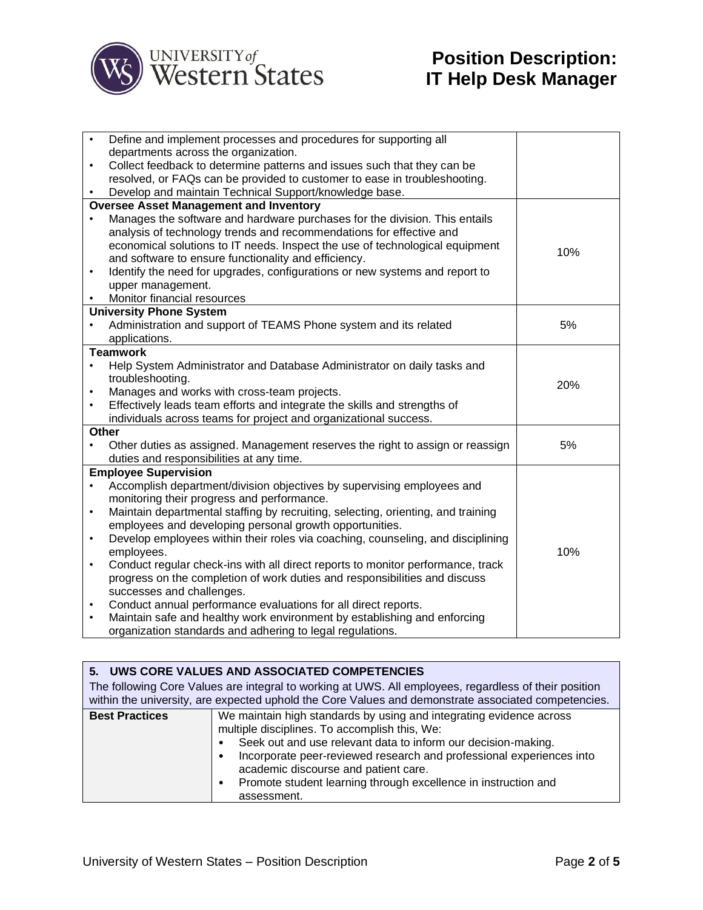

| $\bullet$ | Define and implement processes and procedures for supporting all                 |     |
|-----------|----------------------------------------------------------------------------------|-----|
|           | departments across the organization.                                             |     |
| $\bullet$ | Collect feedback to determine patterns and issues such that they can be          |     |
|           | resolved, or FAQs can be provided to customer to ease in troubleshooting.        |     |
|           | Develop and maintain Technical Support/knowledge base.                           |     |
|           | <b>Oversee Asset Management and Inventory</b>                                    |     |
|           | Manages the software and hardware purchases for the division. This entails       |     |
|           | analysis of technology trends and recommendations for effective and              |     |
|           | economical solutions to IT needs. Inspect the use of technological equipment     | 10% |
|           | and software to ensure functionality and efficiency.                             |     |
| $\bullet$ | Identify the need for upgrades, configurations or new systems and report to      |     |
|           | upper management.                                                                |     |
|           | Monitor financial resources                                                      |     |
|           | <b>University Phone System</b>                                                   |     |
|           | Administration and support of TEAMS Phone system and its related                 | 5%  |
|           | applications.                                                                    |     |
|           | <b>Teamwork</b>                                                                  |     |
|           | Help System Administrator and Database Administrator on daily tasks and          |     |
|           | troubleshooting.                                                                 | 20% |
| $\bullet$ | Manages and works with cross-team projects.                                      |     |
| $\bullet$ | Effectively leads team efforts and integrate the skills and strengths of         |     |
|           | individuals across teams for project and organizational success.                 |     |
|           | <b>Other</b>                                                                     |     |
| ٠         | Other duties as assigned. Management reserves the right to assign or reassign    | 5%  |
|           | duties and responsibilities at any time.                                         |     |
|           | <b>Employee Supervision</b>                                                      |     |
|           | Accomplish department/division objectives by supervising employees and           |     |
|           | monitoring their progress and performance.                                       |     |
| $\bullet$ | Maintain departmental staffing by recruiting, selecting, orienting, and training |     |
|           | employees and developing personal growth opportunities.                          |     |
| $\bullet$ | Develop employees within their roles via coaching, counseling, and disciplining  |     |
|           | employees.                                                                       | 10% |
| ٠         | Conduct regular check-ins with all direct reports to monitor performance, track  |     |
|           | progress on the completion of work duties and responsibilities and discuss       |     |
|           | successes and challenges.                                                        |     |
| ٠         | Conduct annual performance evaluations for all direct reports.                   |     |
| $\bullet$ | Maintain safe and healthy work environment by establishing and enforcing         |     |
|           | organization standards and adhering to legal regulations.                        |     |

| 5. UWS CORE VALUES AND ASSOCIATED COMPETENCIES                                                                                                                                                                                                                                                                                                                                                                                            |  |  |
|-------------------------------------------------------------------------------------------------------------------------------------------------------------------------------------------------------------------------------------------------------------------------------------------------------------------------------------------------------------------------------------------------------------------------------------------|--|--|
| The following Core Values are integral to working at UWS. All employees, regardless of their position<br>within the university, are expected uphold the Core Values and demonstrate associated competencies.                                                                                                                                                                                                                              |  |  |
| <b>Best Practices</b><br>We maintain high standards by using and integrating evidence across<br>multiple disciplines. To accomplish this, We:<br>Seek out and use relevant data to inform our decision-making.<br>Incorporate peer-reviewed research and professional experiences into<br>$\bullet$<br>academic discourse and patient care.<br>Promote student learning through excellence in instruction and<br>$\bullet$<br>assessment. |  |  |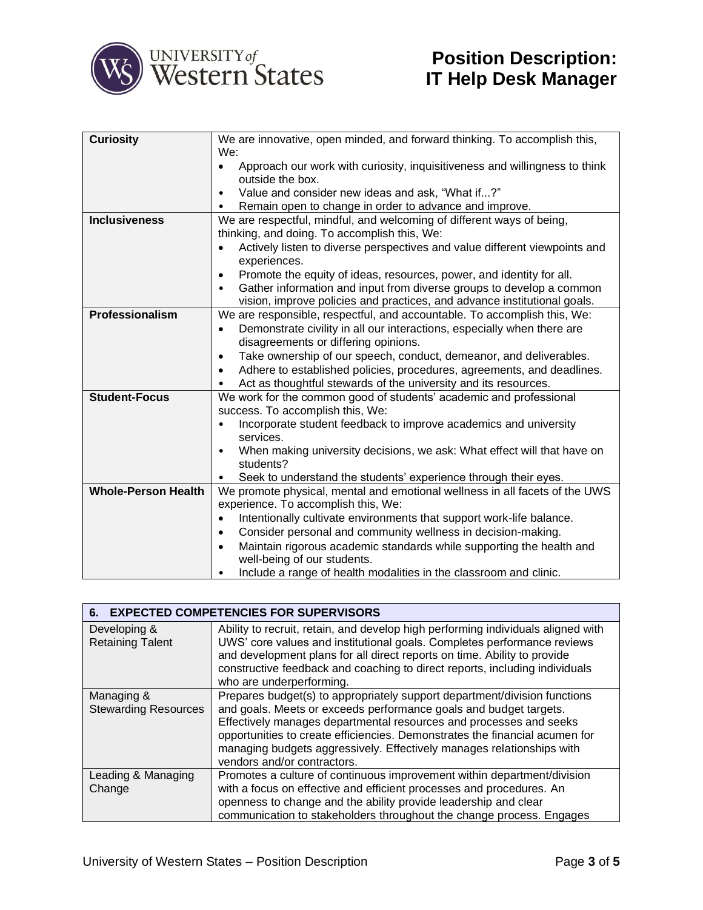

| <b>Curiosity</b>           | We are innovative, open minded, and forward thinking. To accomplish this,<br>We:                              |  |
|----------------------------|---------------------------------------------------------------------------------------------------------------|--|
|                            | Approach our work with curiosity, inquisitiveness and willingness to think<br>$\bullet$<br>outside the box.   |  |
|                            | Value and consider new ideas and ask, "What if?"<br>$\bullet$                                                 |  |
|                            | Remain open to change in order to advance and improve.                                                        |  |
| <b>Inclusiveness</b>       | We are respectful, mindful, and welcoming of different ways of being,                                         |  |
|                            | thinking, and doing. To accomplish this, We:                                                                  |  |
|                            | Actively listen to diverse perspectives and value different viewpoints and                                    |  |
|                            | experiences.                                                                                                  |  |
|                            | Promote the equity of ideas, resources, power, and identity for all.<br>$\bullet$                             |  |
|                            | Gather information and input from diverse groups to develop a common<br>$\bullet$                             |  |
|                            | vision, improve policies and practices, and advance institutional goals.                                      |  |
| Professionalism            | We are responsible, respectful, and accountable. To accomplish this, We:                                      |  |
|                            | Demonstrate civility in all our interactions, especially when there are<br>$\bullet$                          |  |
|                            | disagreements or differing opinions.                                                                          |  |
|                            | Take ownership of our speech, conduct, demeanor, and deliverables.<br>٠                                       |  |
|                            | Adhere to established policies, procedures, agreements, and deadlines.<br>٠                                   |  |
|                            | Act as thoughtful stewards of the university and its resources.<br>٠                                          |  |
| <b>Student-Focus</b>       | We work for the common good of students' academic and professional                                            |  |
|                            | success. To accomplish this, We:                                                                              |  |
|                            | Incorporate student feedback to improve academics and university                                              |  |
|                            | services.                                                                                                     |  |
|                            | When making university decisions, we ask: What effect will that have on<br>$\bullet$                          |  |
|                            | students?                                                                                                     |  |
|                            | Seek to understand the students' experience through their eyes.                                               |  |
| <b>Whole-Person Health</b> | We promote physical, mental and emotional wellness in all facets of the UWS                                   |  |
|                            | experience. To accomplish this, We:                                                                           |  |
|                            | Intentionally cultivate environments that support work-life balance.<br>$\bullet$                             |  |
|                            | Consider personal and community wellness in decision-making.<br>$\bullet$                                     |  |
|                            | Maintain rigorous academic standards while supporting the health and<br>$\bullet$                             |  |
|                            | well-being of our students.<br>Include a range of health modalities in the classroom and clinic.<br>$\bullet$ |  |
|                            |                                                                                                               |  |

| <b>EXPECTED COMPETENCIES FOR SUPERVISORS</b><br>6. |                                                                                                                                                                                                                                                                                                                                                                                                             |  |
|----------------------------------------------------|-------------------------------------------------------------------------------------------------------------------------------------------------------------------------------------------------------------------------------------------------------------------------------------------------------------------------------------------------------------------------------------------------------------|--|
| Developing &<br><b>Retaining Talent</b>            | Ability to recruit, retain, and develop high performing individuals aligned with<br>UWS' core values and institutional goals. Completes performance reviews<br>and development plans for all direct reports on time. Ability to provide<br>constructive feedback and coaching to direct reports, including individuals<br>who are underperforming.                                                          |  |
| Managing &<br><b>Stewarding Resources</b>          | Prepares budget(s) to appropriately support department/division functions<br>and goals. Meets or exceeds performance goals and budget targets.<br>Effectively manages departmental resources and processes and seeks<br>opportunities to create efficiencies. Demonstrates the financial acumen for<br>managing budgets aggressively. Effectively manages relationships with<br>vendors and/or contractors. |  |
| Leading & Managing<br>Change                       | Promotes a culture of continuous improvement within department/division<br>with a focus on effective and efficient processes and procedures. An<br>openness to change and the ability provide leadership and clear<br>communication to stakeholders throughout the change process. Engages                                                                                                                  |  |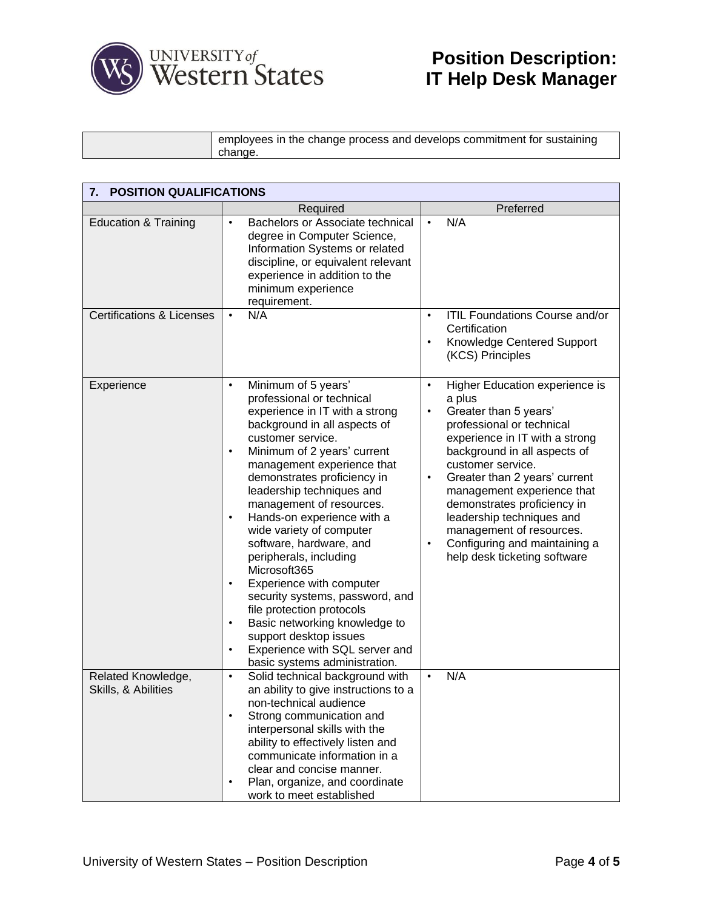

employees in the change process and develops commitment for sustaining change.

| <b>POSITION QUALIFICATIONS</b><br>7.      |                                                                                                                                                                                                                                                                                                                                                                                                                                                                                                                                                                                                                                                                                                                             |                                                                                                                                                                                                                                                                                                                                                                                                                                                           |  |
|-------------------------------------------|-----------------------------------------------------------------------------------------------------------------------------------------------------------------------------------------------------------------------------------------------------------------------------------------------------------------------------------------------------------------------------------------------------------------------------------------------------------------------------------------------------------------------------------------------------------------------------------------------------------------------------------------------------------------------------------------------------------------------------|-----------------------------------------------------------------------------------------------------------------------------------------------------------------------------------------------------------------------------------------------------------------------------------------------------------------------------------------------------------------------------------------------------------------------------------------------------------|--|
|                                           | Required                                                                                                                                                                                                                                                                                                                                                                                                                                                                                                                                                                                                                                                                                                                    | Preferred                                                                                                                                                                                                                                                                                                                                                                                                                                                 |  |
| <b>Education &amp; Training</b>           | Bachelors or Associate technical<br>$\bullet$<br>degree in Computer Science,<br>Information Systems or related<br>discipline, or equivalent relevant<br>experience in addition to the<br>minimum experience<br>requirement.                                                                                                                                                                                                                                                                                                                                                                                                                                                                                                 | N/A<br>$\bullet$                                                                                                                                                                                                                                                                                                                                                                                                                                          |  |
| <b>Certifications &amp; Licenses</b>      | N/A<br>$\bullet$                                                                                                                                                                                                                                                                                                                                                                                                                                                                                                                                                                                                                                                                                                            | ITIL Foundations Course and/or<br>$\bullet$<br>Certification<br>Knowledge Centered Support<br>$\bullet$<br>(KCS) Principles                                                                                                                                                                                                                                                                                                                               |  |
| Experience                                | Minimum of 5 years'<br>$\bullet$<br>professional or technical<br>experience in IT with a strong<br>background in all aspects of<br>customer service.<br>Minimum of 2 years' current<br>$\bullet$<br>management experience that<br>demonstrates proficiency in<br>leadership techniques and<br>management of resources.<br>Hands-on experience with a<br>$\bullet$<br>wide variety of computer<br>software, hardware, and<br>peripherals, including<br>Microsoft365<br>Experience with computer<br>$\bullet$<br>security systems, password, and<br>file protection protocols<br>Basic networking knowledge to<br>$\bullet$<br>support desktop issues<br>Experience with SQL server and<br>٠<br>basic systems administration. | Higher Education experience is<br>$\bullet$<br>a plus<br>Greater than 5 years'<br>٠<br>professional or technical<br>experience in IT with a strong<br>background in all aspects of<br>customer service.<br>Greater than 2 years' current<br>$\bullet$<br>management experience that<br>demonstrates proficiency in<br>leadership techniques and<br>management of resources.<br>Configuring and maintaining a<br>$\bullet$<br>help desk ticketing software |  |
| Related Knowledge,<br>Skills, & Abilities | Solid technical background with<br>$\bullet$<br>an ability to give instructions to a<br>non-technical audience<br>Strong communication and<br>$\bullet$<br>interpersonal skills with the<br>ability to effectively listen and<br>communicate information in a<br>clear and concise manner.<br>Plan, organize, and coordinate<br>$\bullet$<br>work to meet established                                                                                                                                                                                                                                                                                                                                                       | N/A<br>$\bullet$                                                                                                                                                                                                                                                                                                                                                                                                                                          |  |